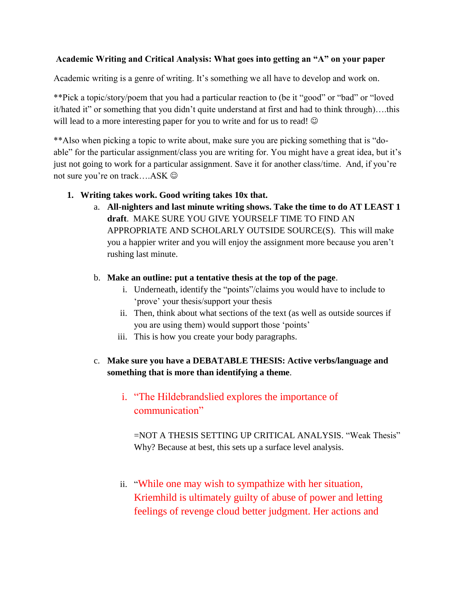### **Academic Writing and Critical Analysis: What goes into getting an "A" on your paper**

Academic writing is a genre of writing. It's something we all have to develop and work on.

\*\*Pick a topic/story/poem that you had a particular reaction to (be it "good" or "bad" or "loved it/hated it" or something that you didn't quite understand at first and had to think through)….this will lead to a more interesting paper for you to write and for us to read!  $\odot$ 

\*\*Also when picking a topic to write about, make sure you are picking something that is "doable" for the particular assignment/class you are writing for. You might have a great idea, but it's just not going to work for a particular assignment. Save it for another class/time. And, if you're not sure you're on track….ASK

## **1. Writing takes work. Good writing takes 10x that.**

a. **All-nighters and last minute writing shows. Take the time to do AT LEAST 1 draft**. MAKE SURE YOU GIVE YOURSELF TIME TO FIND AN APPROPRIATE AND SCHOLARLY OUTSIDE SOURCE(S). This will make you a happier writer and you will enjoy the assignment more because you aren't rushing last minute.

## b. **Make an outline: put a tentative thesis at the top of the page**.

- i. Underneath, identify the "points"/claims you would have to include to 'prove' your thesis/support your thesis
- ii. Then, think about what sections of the text (as well as outside sources if you are using them) would support those 'points'
- iii. This is how you create your body paragraphs.

# c. **Make sure you have a DEBATABLE THESIS: Active verbs/language and something that is more than identifying a theme**.

# i. "The Hildebrandslied explores the importance of communication"

=NOT A THESIS SETTING UP CRITICAL ANALYSIS. "Weak Thesis" Why? Because at best, this sets up a surface level analysis.

ii. "While one may wish to sympathize with her situation, Kriemhild is ultimately guilty of abuse of power and letting feelings of revenge cloud better judgment. Her actions and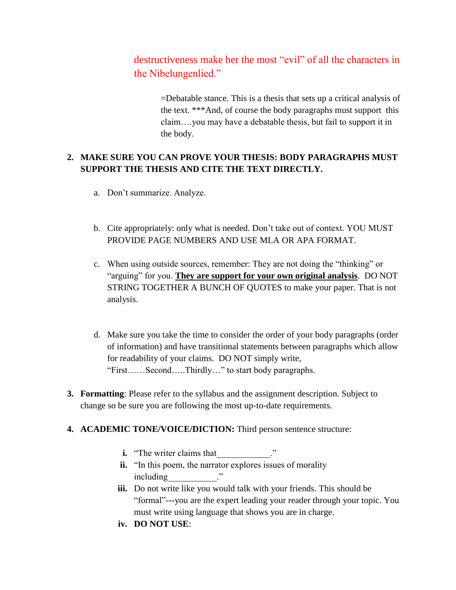destructiveness make her the most "evil" of all the characters in the Nibelungenlied."

> =Debatable stance. This is a thesis that sets up a critical analysis of the text. \*\*\*And, of course the body paragraphs must support this claim….you may have a debatable thesis, but fail to support it in the body.

## **2. MAKE SURE YOU CAN PROVE YOUR THESIS: BODY PARAGRAPHS MUST SUPPORT THE THESIS AND CITE THE TEXT DIRECTLY.**

- a. Don't summarize. Analyze.
- b. Cite appropriately: only what is needed. Don't take out of context. YOU MUST PROVIDE PAGE NUMBERS AND USE MLA OR APA FORMAT.
- c. When using outside sources, remember: They are not doing the "thinking" or "arguing" for you. **They are support for your own original analysis**. DO NOT STRING TOGETHER A BUNCH OF QUOTES to make your paper. That is not analysis.
- d. Make sure you take the time to consider the order of your body paragraphs (order of information) and have transitional statements between paragraphs which allow for readability of your claims. DO NOT simply write, "First……Second…..Thirdly…" to start body paragraphs.
- **3. Formatting**: Please refer to the syllabus and the assignment description. Subject to change so be sure you are following the most up-to-date requirements.

### **4. ACADEMIC TONE/VOICE/DICTION:** Third person sentence structure:

- **i.** "The writer claims that
- ii. "In this poem, the narrator explores issues of morality including  $\blacksquare$
- **iii.** Do not write like you would talk with your friends. This should be "formal"---you are the expert leading your reader through your topic. You must write using language that shows you are in charge.
- **iv. DO NOT USE**: